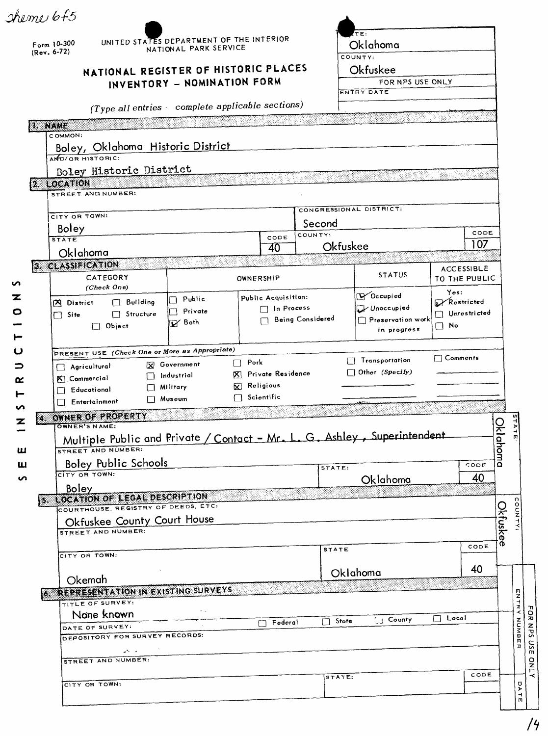$\mathcal{A}$ 

|        | sheme 6f5                  |                                                                               |    |                                                                   |                            |                                            |                                    |                                                                          |                    |             |       |                    |
|--------|----------------------------|-------------------------------------------------------------------------------|----|-------------------------------------------------------------------|----------------------------|--------------------------------------------|------------------------------------|--------------------------------------------------------------------------|--------------------|-------------|-------|--------------------|
|        | Form 10-300<br>(Rev. 6-72) |                                                                               |    | UNITED STATES DEPARTMENT OF THE INTERIOR<br>NATIONAL PARK SERVICE |                            |                                            |                                    | TE:<br>Oklahoma<br>COUNTY:                                               |                    |             |       |                    |
|        |                            | NATIONAL REGISTER OF HISTORIC PLACES<br>INVENTORY - NOMINATION FORM           |    |                                                                   |                            | Okfuskee<br>FOR NPS USE ONLY<br>ENTRY DATE |                                    |                                                                          |                    |             |       |                    |
|        |                            |                                                                               |    | (Type all entries complete applicable sections)                   |                            |                                            |                                    |                                                                          |                    |             |       |                    |
|        | <b>IN NAME</b>             |                                                                               |    |                                                                   |                            |                                            |                                    |                                                                          |                    |             |       |                    |
|        | COMMON:                    |                                                                               |    | Boley, Oklahoma Historic District                                 |                            |                                            |                                    |                                                                          |                    |             |       |                    |
|        |                            | AND/OR HISTORIC:                                                              |    |                                                                   |                            |                                            |                                    |                                                                          |                    |             |       |                    |
|        | [2 LOCATION                | Boley Historic District                                                       |    |                                                                   |                            |                                            |                                    |                                                                          |                    |             |       |                    |
|        |                            | STREET AND NUMBER:                                                            |    |                                                                   |                            |                                            |                                    |                                                                          |                    |             |       |                    |
|        |                            | CITY OR TOWN:                                                                 |    |                                                                   |                            |                                            |                                    | CONGRESSIONAL DISTRICT:                                                  |                    |             |       |                    |
|        | Boley                      |                                                                               |    |                                                                   |                            |                                            | Second                             |                                                                          |                    |             |       |                    |
|        | <b>STATE</b>               |                                                                               |    |                                                                   | CODE                       | COUNTY:                                    | Okfuskee                           |                                                                          |                    | CODE<br>107 |       |                    |
|        |                            | Oklahoma                                                                      |    |                                                                   | 40                         |                                            |                                    |                                                                          |                    |             |       |                    |
| n      |                            | 3. CLASSIFICATION<br>CATEGORY<br>(Check One)                                  |    |                                                                   | <b>STATUS</b><br>OWNERSHIP |                                            | <b>ACCESSIBLE</b><br>TO THE PUBLIC |                                                                          |                    |             |       |                    |
| z      |                            | $\Box$ Building<br><b>A</b> District                                          |    | Public                                                            | Public Acquisition:        |                                            |                                    | V Occupied                                                               | Yes:<br>Restricted |             |       |                    |
| O      | $\Box$ Site                | $\Box$ Structure                                                              |    | Private<br>$\mathbf{1}$                                           | □ In Process               |                                            |                                    | Unoccupied                                                               | Unrestricted       |             |       |                    |
|        |                            | $\Box$ Object                                                                 |    | <b>IV</b> Both                                                    | Being Considered           |                                            |                                    | Preservation work<br>in progress                                         | $\square$ No       |             |       |                    |
|        |                            |                                                                               |    |                                                                   |                            |                                            |                                    |                                                                          |                    |             |       |                    |
| ပ      |                            |                                                                               |    | PRESENT USE (Check One or More as Appropriate)                    | $\Box$ Pork                |                                            |                                    | Transportation                                                           | $\Box$ Comments    |             |       |                    |
| ⊃      |                            | Agricultural                                                                  |    | X Government<br>Industrial                                        | X Private Residence        |                                            |                                    | $\Box$ Other (Specify)                                                   |                    |             |       |                    |
| α      |                            | K Commercial<br>Educational                                                   |    | $\Box$ Military                                                   | <b>X</b> Religious         |                                            |                                    |                                                                          |                    |             |       |                    |
|        |                            | $\Box$ Entertainment                                                          | UΙ | Museum                                                            | $\Box$ Scientific          |                                            |                                    | <b>SECTION</b>                                                           |                    |             |       |                    |
| ഗ      | Z                          | OWNER OF PROPERTY                                                             |    |                                                                   |                            |                                            |                                    |                                                                          |                    |             |       |                    |
|        |                            | <b>OWNER'S NAME:</b><br>STREET AND NUMBER:                                    |    |                                                                   |                            |                                            |                                    | Multiple Public and Private / Contact - Mr. L. G. Ashley, Superintendent |                    | Oklahoma    | STATE |                    |
| ш<br>ш |                            | <b>Boley Public Schools</b>                                                   |    |                                                                   |                            |                                            |                                    |                                                                          |                    | CODE        |       |                    |
| S      |                            | CITY OR TOWN:                                                                 |    |                                                                   |                            |                                            | STATE:                             | Oklahoma                                                                 |                    | 40          |       |                    |
|        |                            | Boley                                                                         |    |                                                                   |                            |                                            |                                    |                                                                          |                    |             |       |                    |
|        |                            | <b>5 LOCATION OF LEGAL DESCRIPTION</b><br>COURTHOUSE, REGISTRY OF DEEDS, ETC: |    |                                                                   |                            |                                            |                                    |                                                                          |                    |             |       |                    |
|        |                            | Okfuskee County Court House                                                   |    |                                                                   |                            |                                            |                                    |                                                                          |                    | Okfuske     |       |                    |
|        |                            | STREET AND NUMBER:                                                            |    |                                                                   |                            |                                            |                                    |                                                                          |                    |             |       |                    |
|        |                            |                                                                               |    |                                                                   |                            |                                            | <b>STATE</b>                       |                                                                          |                    | ര<br>CODE   |       |                    |
|        |                            | CITY OR TOWN:                                                                 |    |                                                                   |                            |                                            |                                    |                                                                          |                    | 40          |       |                    |
|        |                            | Okemah                                                                        |    |                                                                   |                            |                                            |                                    | Oklahoma                                                                 |                    |             |       |                    |
|        |                            |                                                                               |    | <b>6 REPRESENTATION IN EXISTING SURVEYS</b>                       |                            |                                            |                                    |                                                                          |                    |             |       |                    |
|        |                            | TITLE OF SURVEY:                                                              |    | $\mathbf{r}_{\mathrm{max}}$                                       |                            |                                            |                                    |                                                                          |                    |             |       | ENTR<br>۰          |
|        |                            | None known<br>DATE OF SURVEY:                                                 |    |                                                                   | $\sqcap$ Federal           |                                            | $\Box$ Stote                       | $\frac{1}{2}$ County                                                     | $\Box$ Local       |             |       | FOR NPS            |
|        |                            | DEPOSITORY FOR SURVEY RECORDS:                                                |    |                                                                   |                            |                                            |                                    |                                                                          |                    |             |       | NUMBE              |
|        |                            | $\omega^{\alpha}$ and $\omega^{\alpha}$                                       |    |                                                                   |                            |                                            |                                    |                                                                          |                    |             |       | usE<br>$\pmb{\pi}$ |
|        |                            | <b>STREET AND NUMBER:</b>                                                     |    |                                                                   |                            |                                            |                                    |                                                                          |                    |             |       | <b>ONLY</b>        |
|        |                            | CITY OR TOWN:                                                                 |    |                                                                   |                            |                                            | STATE:                             |                                                                          |                    | CODE        |       |                    |
|        |                            |                                                                               |    |                                                                   |                            |                                            |                                    |                                                                          |                    |             |       | DATE               |
|        |                            |                                                                               |    |                                                                   |                            |                                            |                                    |                                                                          |                    |             |       |                    |

|<br>|<br>| /4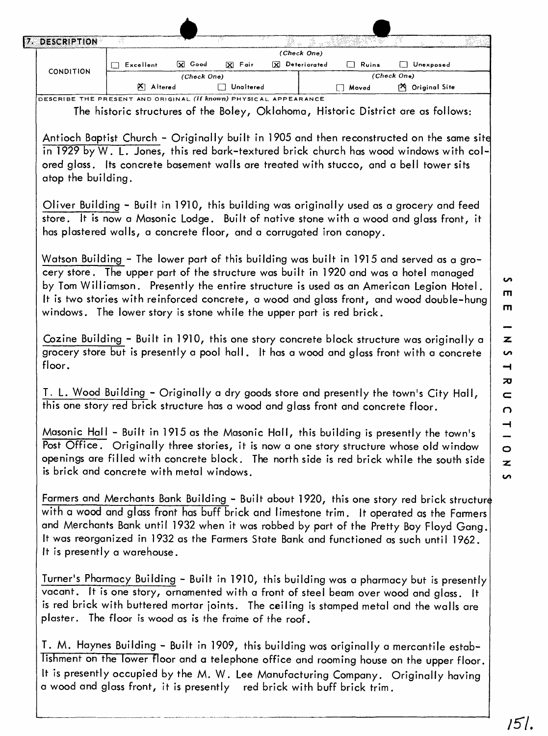| Ч7. | DESCRIPTION      | a dir         |             |           |     |                             |              |                 |  |
|-----|------------------|---------------|-------------|-----------|-----|-----------------------------|--------------|-----------------|--|
|     |                  | Excellent     | X Good      | X Fair    | ΙxΙ | (Check One)<br>Deteriorated | $\Box$ Ruins | Unexposed       |  |
|     | <b>CONDITION</b> |               | (Check One) |           |     |                             |              | (Check One)     |  |
|     |                  | Altered<br>WΙ |             | Unaltered |     |                             | Moved        | 內 Original Site |  |

DESCRIBE THE PRESENT AND ORIGINAL *(if known)* PHYSICAL APPEARANCE

The historic structures of the Boley, Oklahoma, Historic District are as follows:

Antioch Baptist Church - Originally built in 1905 and then reconstructed on the same site in 1929 by W. L. Jones, this red bark-textured brick church has wood windows with colored glass. Its concrete basement walls are treated with stucco, and a bell tower sits atop the building.

Oliver Building - Built in 1910, this building was originally used as a grocery and feed store. It is now a Masonic Lodge. Built of native stone with a wood and glass front, it has plastered walls, a concrete floor, and a corrugated iron canopy.

Watson Building - The lower part of this building was built in 1915 and served as a grocery store. The upper part of the structure was built in 1920 and was a hotel managed by Tom Williamson. Presently the entire structure is used as an American Legion Hotel. It is two stories with reinforced concrete, a wood and glass front, and wood double-hung windows. The lower story is stone while the upper part is red brick.

Cozine Building - Built in 1910, this one story concrete block structure was originally a grocery store but is presently a pool hall. It has a wood and glass front with a concrete floor.

T. L. Wood Building - Originally a dry goods store and presently the town's City Hall, this one story red brick structure has a wood and glass front and concrete floor.

Masonic Hall - Built in 1915 as the Masonic Hall, this building is presently the town's Post Office. Originally three stories, it is now a one story structure whose old window openings are filled with concrete block. The north side is red brick while the south side is brick and concrete with metal windows.

Farmers and Merchants Bank Building - Built about 1920, this one story red brick structure with a wood and glass front has buff brick and limestone trim. It operated as the Farmers and Merchants Bank until 1932 when it was robbed by part of the Pretty Boy Floyd Gang. It was reorganized in 1932 as the Farmers State Bank and functioned as such until 1962. It is presently a warehouse.

Turner's Pharmacy Building - Built in 1910, this building was a pharmacy but is presently vacant. It is one story, ornamented with a front of steel beam over wood and glass. It is red brick with buttered mortar joints. The ceiling is stamped metal and the walls are plaster. The floor is wood as is the frame of the roof.

T. M. Haynes Building - Built in 1909, this building was originally a mercantile establishment on the lower floor and a telephone office and rooming house on the upper floor. It is presently occupied by the M. W. Lee Manufacturing Company. Originally having a wood and glass front, it is presently red brick with buff brick trim.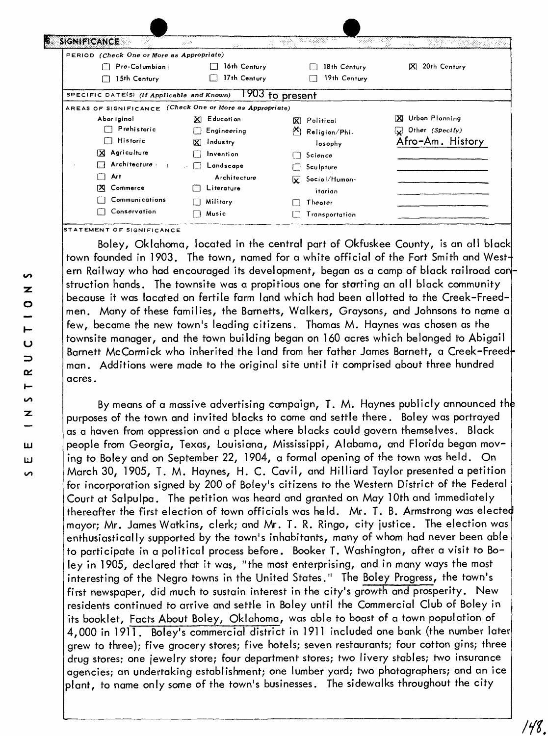| -99<br><b>B. SIGNIFICANCE</b>                            | 공동<br>2010/-                        | 機能                    | no los                 |
|----------------------------------------------------------|-------------------------------------|-----------------------|------------------------|
| PERIOD (Check One or More as Appropriate)                |                                     |                       |                        |
| Pre-Columbian                                            | 16th Century                        | 18th Century          | 20th Century<br>K      |
| 15th Century                                             | 17th Century                        | 19th Century          |                        |
| SPECIFIC DATE(S) (If Applicable and Known)               |                                     | 1903 to present       |                        |
| AREAS OF SIGNIFICANCE (Check One or More as Appropriate) |                                     |                       |                        |
| Abor iginol                                              | X Educotion                         | <b>X</b> Political    | Urbon Plonning<br>ΓXΙ. |
| Prehistoric                                              | Engineering                         | M Religion/Phi-       | Uther (Specify)        |
| $\Box$ Historic                                          | $\overline{\mathbf{x}}$<br>Industry | losophy               | Afro-Am. History       |
| <b>X</b> Agriculture                                     | Invention                           | Science               |                        |
| $\Box$ Architecture.<br>$\mathbf{1}$                     | Landscape                           | Sculpture             |                        |
| Art<br>$\overline{\phantom{a}}$                          | Architecture                        | Sociol/Humon-<br>lxL. |                        |
| [X] Commerce                                             | Literature                          | itarian               |                        |
| Communications                                           | Military                            | Theoter               |                        |
| Conservation                                             | Music                               | Transportation        |                        |

Boley, Oklahoma, located in the central part of Okfuskee County, is an all black town founded in 1903. The town, named for a white official of the Fort Smith and Western Railway who had encouraged its development, began as a camp of black railroad con struction hands. The townsite was a propitious one for starting an all black community because it was located on fertile farm land which had been allotted to the Creek-Freedmen. Many of these families, the Barnetts, Walkers, Graysons, and Johnsons to name a few, became the new town's leading citizens. Thomas M. Haynes was chosen as the townsite manager, and the town building began on 160 acres which belonged to Abigail Barnett McCormick who inherited the land from her father James Barnett, a Creek-Freed man. Additions were made to the original site until it comprised about three hundred acres.

By means of a massive advertising campaign, T. M. Haynes publicly announced the purposes of the town and invited blacks to come and settle there. Boley was portrayed as a haven from oppression and a place where blacks could govern themselves. Black people from Georgia, Texas, Louisiana, Mississippi, Alabama, and Florida began moving to Boley and on September 22, 1904, a formal opening of the town was held. On March 30, 1905, T. M. Haynes, H. C. Cavil, and HilIiard Taylor presented a petition for incorporation signed by 200 of Boiey's citizens to the Western District of the Federal Court at Salpulpa. The petition was heard and granted on May 10th and immediately thereafter the first election of town officials was held. Mr. T. B. Armstrong was electe mayor; Mr. James Watkins, clerk; and Mr. T. R. Ringo, city justice. The election was enthusiastically supported by the town's inhabitants, many of whom had never been able to participate in a political process before. Booker T. Washington, after a visit to Boley in 1905, declared that it was, "the most enterprising, and in many ways the most interesting of the Negro towns in the United States." The Boley Progress, the town's first newspaper, did much to sustain interest in the city's growth and prosperity. New residents continued to arrive and settle in Boley until the Commercial Club of Boley in its booklet, Facts About Boley, Oklahoma, was able to boast of a town population of 4,000 in 1911. Boley's commercial district in 1911 included one bank (the number later grew to three); five grocery stores; five hotels; seven restaurants; four cotton gins; three drug stores; one jewelry store; four department stores; two livery stables; two insurance agencies; an undertaking establishment; one lumber yard; two photographers; and an ice plant, to name only some of the town's businesses. The sidewalks throughout the city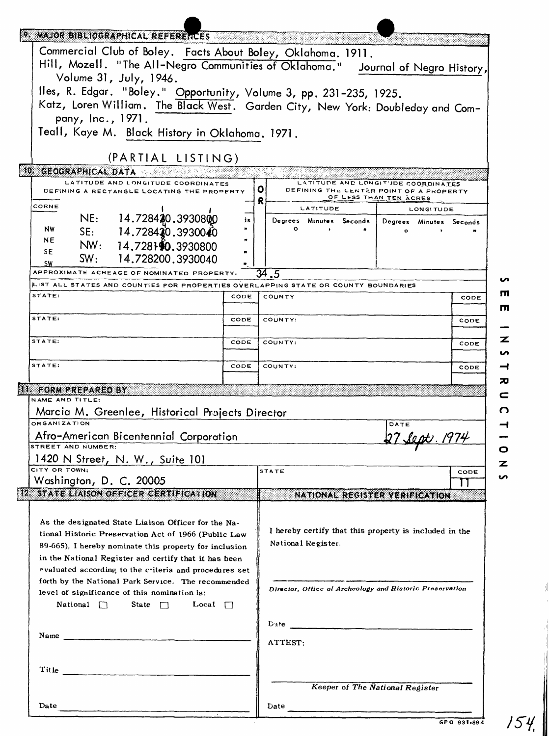| 9. MAJOR BIBLIOGRAPHICAL REFERENCES                                                                                                                                                                                                                                                      |      |                                                                                    |  |  |  |  |
|------------------------------------------------------------------------------------------------------------------------------------------------------------------------------------------------------------------------------------------------------------------------------------------|------|------------------------------------------------------------------------------------|--|--|--|--|
| Commercial Club of Boley. Facts About Boley, Oklahoma. 1911.<br>Hill, Mozell. "The All-Negro Communities of Oklahoma." Journal of Negro History,                                                                                                                                         |      |                                                                                    |  |  |  |  |
| Volume 31, July, 1946.<br>Iles, R. Edgar. "Boley." Opportunity, Volume 3, pp. 231-235, 1925.                                                                                                                                                                                             |      |                                                                                    |  |  |  |  |
| Katz, Loren William. The Black West. Garden City, New York: Doubleday and Com-<br>pany, Inc., 1971.                                                                                                                                                                                      |      |                                                                                    |  |  |  |  |
| Teall, Kaye M. Black History in Oklahoma. 1971.                                                                                                                                                                                                                                          |      |                                                                                    |  |  |  |  |
| (PARTIAL LISTING)<br>10. GEOGRAPHICAL DATA                                                                                                                                                                                                                                               |      |                                                                                    |  |  |  |  |
| LATITUDE AND LONGITUDE COORDINATES<br>DEFINING A RECTANGLE LOCATING THE PROPERTY                                                                                                                                                                                                         |      | LATITUDE AND LONGITUDE COORDINATES<br>0<br>DEFINING THE CENTER POINT OF A PROPERTY |  |  |  |  |
| CORNE                                                                                                                                                                                                                                                                                    |      | OF LESS THAN TEN ACRES<br>R<br>LATITUDE<br><b>LONGITUDE</b>                        |  |  |  |  |
| NE: 14.728420.3930800<br>NW<br>SE: 14.728420.3930040<br>NE<br>NW: 14.728110.3930800                                                                                                                                                                                                      | is   | Degrees Minutes Seconds  <br>Degrees Minutes Seconds<br>$^{\circ}$<br>$\bullet$    |  |  |  |  |
| SE.<br>SW: 14.728200.3930040<br><b>SW</b>                                                                                                                                                                                                                                                |      |                                                                                    |  |  |  |  |
| APPROXIMATE ACREAGE OF NOMINATED PROPERTY:<br>LIST ALL STATES AND COUNTIES FOR PROPERTIES OVERLAPPING STATE OR COUNTY BOUNDARIES                                                                                                                                                         |      | $\overline{34}$ .5                                                                 |  |  |  |  |
| STATE:                                                                                                                                                                                                                                                                                   | CODE | <b>COUNTY</b><br>CODE                                                              |  |  |  |  |
| STATE:                                                                                                                                                                                                                                                                                   | CODE | COUNTY:<br>CODE                                                                    |  |  |  |  |
| STATE:                                                                                                                                                                                                                                                                                   | CODE | COUNTY:<br>CODE                                                                    |  |  |  |  |
| STATE:                                                                                                                                                                                                                                                                                   | CODE | COUNTY:<br>CODE                                                                    |  |  |  |  |
| II. FORM PREPARED BY<br>NAME AND TITLE:                                                                                                                                                                                                                                                  |      |                                                                                    |  |  |  |  |
| Marcia M. Greenlee, Historical Projects Director                                                                                                                                                                                                                                         |      |                                                                                    |  |  |  |  |
| <b>ORGANIZATION</b><br>Afro-American Bicentennial Corporation                                                                                                                                                                                                                            |      | DATE                                                                               |  |  |  |  |
| STREET AND NUMBER:<br>1420 N Street, N. W., Suite 101                                                                                                                                                                                                                                    |      | z                                                                                  |  |  |  |  |
| CITY OR TOWN.<br>Washington, D. C. 20005                                                                                                                                                                                                                                                 |      | <b>STATE</b><br>CODE<br>$\mathbf{1}$                                               |  |  |  |  |
| 12. STATE LIAISON OFFICER CERTIFICATION                                                                                                                                                                                                                                                  |      | NATIONAL REGISTER VERIFICATION                                                     |  |  |  |  |
| As the designated State Liaison Officer for the Na-<br>tional Historic Preservation Act of 1966 (Public Law<br>89-665), I hereby nominate this property for inclusion<br>in the National Register and certify that it has been<br>evaluated according to the criteria and procedures set |      | I hereby certify that this property is included in the<br>National Register.       |  |  |  |  |
| forth by the National Park Service. The recommended<br>level of significance of this nomination is:<br>National $\Box$<br>State $\Box$<br>Local $\Box$                                                                                                                                   |      | Director, Office of Archeology and Historic Preservation                           |  |  |  |  |
| Name                                                                                                                                                                                                                                                                                     |      | ATTEST:                                                                            |  |  |  |  |
| Title                                                                                                                                                                                                                                                                                    |      |                                                                                    |  |  |  |  |
|                                                                                                                                                                                                                                                                                          |      | Keeper of The National Register                                                    |  |  |  |  |
| Date                                                                                                                                                                                                                                                                                     |      | Date<br>GPO 931-894                                                                |  |  |  |  |

**GPO 931-894**

154.

 $\frac{1}{2}$ 

 $\begin{array}{c} \begin{array}{c} 1 \\ 1 \end{array} \end{array}$  $\overline{\phantom{a}}$  $\parallel$ 

 $\parallel$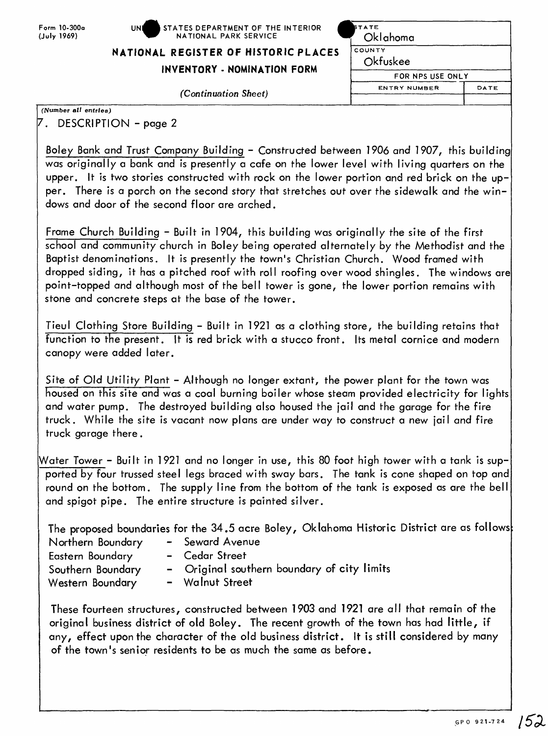## **NATIONAL REGISTER OF HISTOP**

## **INVENTORY - NOMINATIO**

*(Continuation Sheet)* 

| E INTERIOR                  | <b>STATE</b><br>Oklahoma<br>COUNTY<br>Okfuskee |      |  |  |  |
|-----------------------------|------------------------------------------------|------|--|--|--|
| RIC PLACES<br><b>N FORM</b> |                                                |      |  |  |  |
|                             | FOR NPS USE ONLY                               |      |  |  |  |
|                             | <b>ENTRY NUMBER</b>                            | DATE |  |  |  |
|                             |                                                |      |  |  |  |

**(Number** *all entries)*

<sup>7</sup> . DESCRIPTION -page 2

Boley Bank and Trust Company Building – Constructed between 1906 and 1907, this building was originally a bank and is presently a cafe on the lower level with living quarters on the upper. It is two stories constructed with rock on the lower portion and red brick on the upper. There is a porch on the second story that stretches out over the sidewalk and the windows and door of the second floor are arched.

Frame Church Building - Built in 1904, this building was originally the site of the first school and community church in Boley being operated alternately by the Methodist and the Baptist denominations. It is presently the town's Christian Church. Wood framed with dropped siding, it has a pitched roof with roll roofing over wood shingles. The windows are point-topped and although most of the bell tower is gone, the lower portion remains with stone and concrete steps at the base of the tower.

Tieul Clothing Store Building - Built in 1921 as a clothing store, the building retains that function to the present. It is red brick with a stucco front. Its metal cornice and modern canopy were added later.

Site of Old Utility Plant - Although no longer extant, the power plant for the town was housed on this site and was a coal burning boiler whose steam provided electricity for lights and water pump. The destroyed building also housed the jail and the garage for the fire truck. While the site is vacant now plans are under way to construct a new jail and fire truck garage there.

Water Tower - Built in 1921 and no longer in use, this 80 foot high tower with a tank is supported by four trussed steel legs braced with sway bars. The tank is cone shaped on top and round on the bottom. The supply line from the bottom of the tank is exposed as are the bell and spigot pipe. The entire structure is painted silver.

The proposed boundaries for the 34.5 acre Boley, Oklahoma Historic District are as follows

- Northern Boundary Seward Avenue Eastern Boundary - Cedar Street Western Boundary - Walnut Street
	-
	-
- Southern Boundary Original southern boundary of city limits
	-

These fourteen structures, constructed between 1903 and 1921 are all that remain of the original business district of old Boley. The recent growth of the town has had little, if any, effect upon the character of the old business district. It is still considered by many of the town's senior residents to be as much the same as before.

152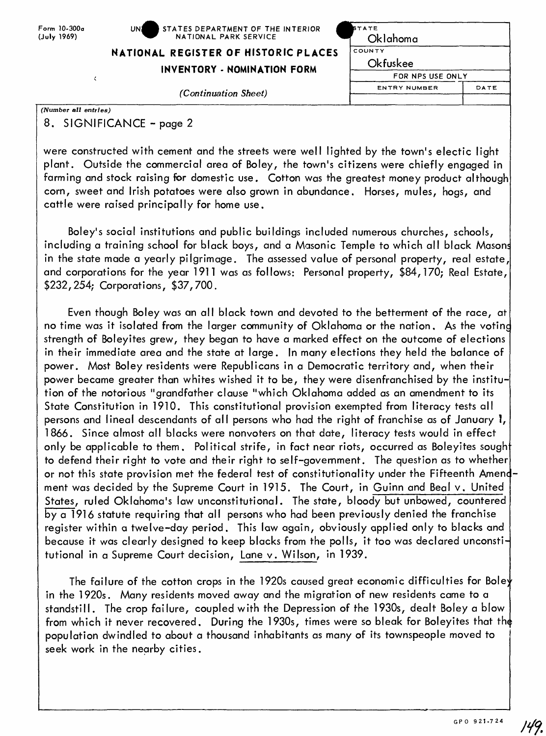**NATIONAL REGISTER OF HISTORIC PLACES** 

## **INVENTORY - NOMINATION FORM**

 $(Continuation Sheet)$ 

| <b>STATE</b>        |      |  |  |  |  |  |
|---------------------|------|--|--|--|--|--|
| Oklahoma            |      |  |  |  |  |  |
| COUNTY              |      |  |  |  |  |  |
| Okfuskee            |      |  |  |  |  |  |
| FOR NPS USE ONLY    |      |  |  |  |  |  |
| <b>ENTRY NUMBER</b> | DATE |  |  |  |  |  |

*(Number all entries)*

8. SIGNIFICANCE - page 2

were constructed with cement and the streets were well lighted by the town's electic light plant. Outside the commercial area of Boley, the town's citizens were chiefly engaged in farming and stock raising for domestic use. Cotton was the greatest money product although corn, sweet and Irish potatoes were also grown in abundance. Horses, mules, hogs, and cattle were raised principally for home use.

Boley's social institutions and public buildings included numerous churches, schools, including a training school for black boys, and a Masonic Temple to which all black Masons in the state made a yearly pilgrimage. The assessed value of personal property, real estate, and corporations for the year 1911 was as follows: Personal property, \$84,170; Real Estate, \$232,254; Corporations, \$37,700.

Even though Boley was an all black town and devoted to the betterment of the race, at no time was it isolated from the larger community of Oklahoma or the nation. As the voting strength of Boleyites grew, they began to have a marked effect on the outcome of elections in their immediate area and the state at large. In many elections they held the balance of power. Most Boley residents were Republicans in a Democratic territory and, when their power became greater than whites wished it to be, they were disenfranchised by the institution of the notorious "grandfather clause "which Oklahoma added as an amendment to its State Constitution in 1910. This constitutional provision exempted from literacy tests all persons and lineal descendants of all persons who had the right of franchise as of January I, 1866. Since almost all blacks were nonvoters on that date, literacy tests would in effect only be applicable to them. Political strife, in fact near riots, occurred as Boleyites sought to defend their right to vote and their right to self-government. The question as to whether or not this state provision met the federal test of constitutionality under the Fifteenth Amendment was decided by the Supreme Court in 1915. The Court, in Guinn and Beal v. United States, ruled Oklahoma's law unconstitutional. The state, bloody but unbowed, countered by a 1916 statute requiring that all persons who had been previously denied the franchise register within a twelve-day period. This law again, obviously applied only to blacks and because it was clearly designed to keep blacks from the polls, it too was declared unconstitutional in a Supreme Court decision, Lane v. Wilson, in 1939.

The failure of the cotton crops in the 1920s caused great economic difficulties for Boley in the 1920s. Many residents moved away and the migration of new residents came to a standstill. The crop failure, coupled with the Depression of the 1930s, dealt Boley a blow from which it never recovered. During the 1930s, times were so bleak for Boleyites that the population dwindled to about a thousand inhabitants as many of its townspeople moved to seek work in the nearby cities.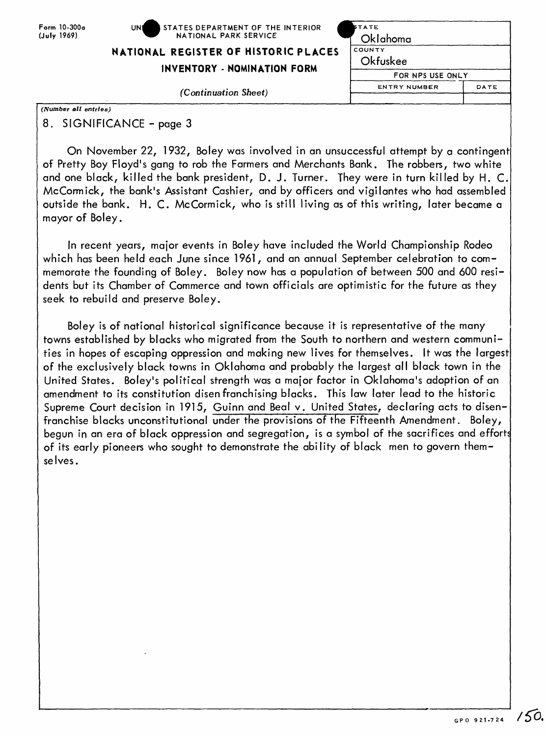| Form 10-300a |
|--------------|
| (July 1969)  |

| Form 10-300a | $\blacksquare$ STATES DEPARTMENT OF THE INTERIOR<br>UNI | <b>STATE</b> |
|--------------|---------------------------------------------------------|--------------|
| (July 1969). | NATIONAL PARK SERVICE                                   | Oklahomc     |

## **NATIONAL REGISTER OF HISTORIC PLACES**

**INVENTORY - NOMINATION FORM** 

 $(Continuation Sheet)$ 

|    | <b>STATE</b>        |      |
|----|---------------------|------|
|    | Oklahoma            |      |
| ES | COUNTY              |      |
|    | Okfuskee            |      |
|    | FOR NPS USE ONLY    |      |
|    | <b>ENTRY NUMBER</b> | DATE |
|    |                     |      |

*(Number all entries)*

8. SIGNIFICANCE - page 3

On November 22, 1932, Boley was involved in an unsuccessful attempt by a contingent of Pretty Boy Floyd's gang to rob the Farmers and Merchants Bank. The robbers, two white and one black, killed the bank president, D. J. Turner. They were in turn killed by H. C. McCormick, the bank's Assistant Cashier, and by officers and vigilantes who had assembled outside the bank. H. C. McCormick, who is still living as of this writing, later became a mayor of Boley.

In recent years, major events in Boley have included the World Championship Rodeo which has been held each June since 1961, and an annual September celebration to commemorate the founding of Boley. Boley now has a population of between 500 and 600 residents but its Chamber of Commerce and town officials are optimistic for the future as they seek to rebuild and preserve Boley.

Boley is of national historical significance because it is representative of the many towns established by blacks who migrated from the South to northern and western communities in hopes of escaping oppression and making new lives for themselves. It was the largest of the exclusively black towns in Oklahoma and probably the largest all black town in the United States. Boley's political strength was a ma{or factor in Oklahoma's adoption of an amendment to its constitution disenfranchising blacks. This law later lead to the historic Supreme Court decision in 1915, Guinn and Beal v. United States, declaring acts to disenfranchise blacks unconstitutional under the provisions of the Fifteenth Amendment. Boley, begun in an era of black oppression and segregation, is a symbol of the sacrifices and efforts of its early pioneers who sought to demonstrate the ability of black men to govern themselves.